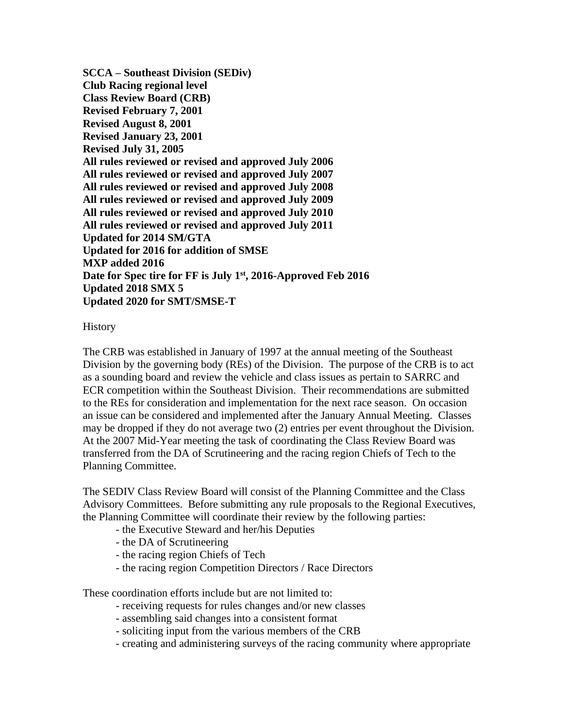**SCCA – Southeast Division (SEDiv) Club Racing regional level Class Review Board (CRB) Revised February 7, 2001 Revised August 8, 2001 Revised January 23, 2001 Revised July 31, 2005 All rules reviewed or revised and approved July 2006 All rules reviewed or revised and approved July 2007 All rules reviewed or revised and approved July 2008 All rules reviewed or revised and approved July 2009 All rules reviewed or revised and approved July 2010 All rules reviewed or revised and approved July 2011 Updated for 2014 SM/GTA Updated for 2016 for addition of SMSE MXP added 2016 Date for Spec tire for FF is July 1st, 2016-Approved Feb 2016 Updated 2018 SMX 5 Updated 2020 for SMT/SMSE-T**

# History

The CRB was established in January of 1997 at the annual meeting of the Southeast Division by the governing body (REs) of the Division. The purpose of the CRB is to act as a sounding board and review the vehicle and class issues as pertain to SARRC and ECR competition within the Southeast Division. Their recommendations are submitted to the REs for consideration and implementation for the next race season. On occasion an issue can be considered and implemented after the January Annual Meeting. Classes may be dropped if they do not average two (2) entries per event throughout the Division. At the 2007 Mid-Year meeting the task of coordinating the Class Review Board was transferred from the DA of Scrutineering and the racing region Chiefs of Tech to the Planning Committee.

The SEDIV Class Review Board will consist of the Planning Committee and the Class Advisory Committees. Before submitting any rule proposals to the Regional Executives, the Planning Committee will coordinate their review by the following parties:

- the Executive Steward and her/his Deputies
- the DA of Scrutineering
- the racing region Chiefs of Tech
- the racing region Competition Directors / Race Directors

These coordination efforts include but are not limited to:

- receiving requests for rules changes and/or new classes
- assembling said changes into a consistent format
- soliciting input from the various members of the CRB
- creating and administering surveys of the racing community where appropriate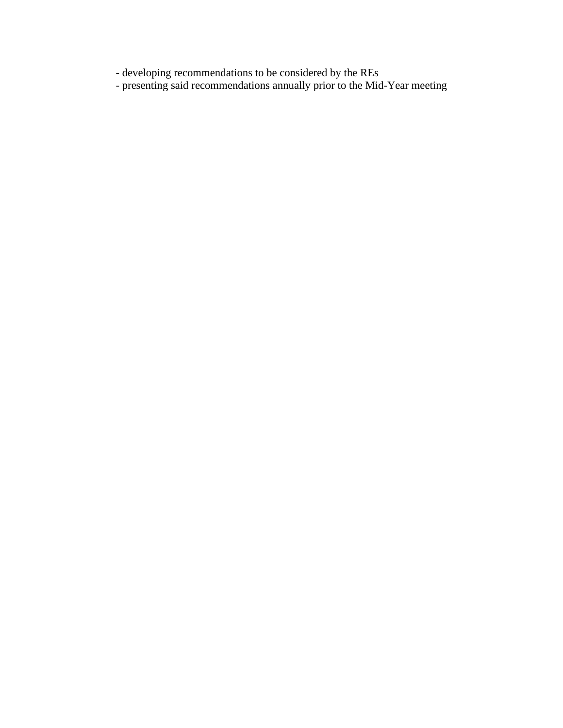- developing recommendations to be considered by the REs

- presenting said recommendations annually prior to the Mid-Year meeting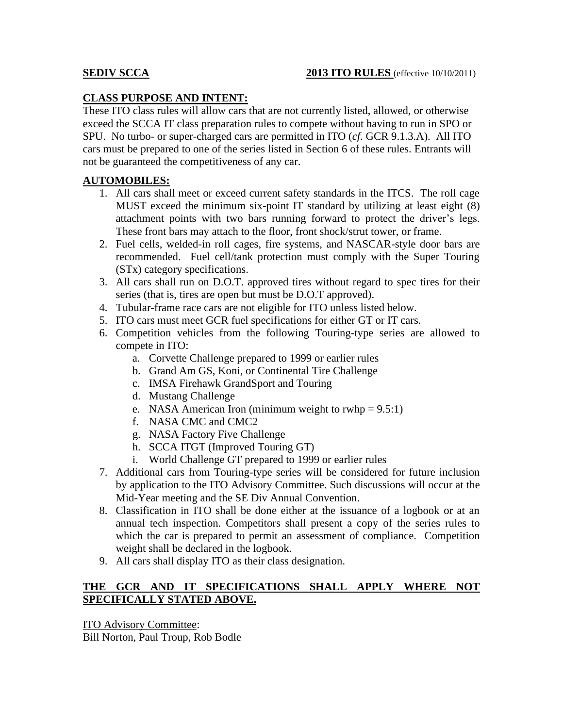# **CLASS PURPOSE AND INTENT:**

These ITO class rules will allow cars that are not currently listed, allowed, or otherwise exceed the SCCA IT class preparation rules to compete without having to run in SPO or SPU. No turbo- or super-charged cars are permitted in ITO (*cf*. GCR 9.1.3.A). All ITO cars must be prepared to one of the series listed in Section 6 of these rules. Entrants will not be guaranteed the competitiveness of any car.

# **AUTOMOBILES:**

- 1. All cars shall meet or exceed current safety standards in the ITCS. The roll cage MUST exceed the minimum six-point IT standard by utilizing at least eight (8) attachment points with two bars running forward to protect the driver's legs. These front bars may attach to the floor, front shock/strut tower, or frame.
- 2. Fuel cells, welded-in roll cages, fire systems, and NASCAR-style door bars are recommended. Fuel cell/tank protection must comply with the Super Touring (STx) category specifications.
- 3. All cars shall run on D.O.T. approved tires without regard to spec tires for their series (that is, tires are open but must be D.O.T approved).
- 4. Tubular-frame race cars are not eligible for ITO unless listed below.
- 5. ITO cars must meet GCR fuel specifications for either GT or IT cars.
- 6. Competition vehicles from the following Touring-type series are allowed to compete in ITO:
	- a. Corvette Challenge prepared to 1999 or earlier rules
	- b. Grand Am GS, Koni, or Continental Tire Challenge
	- c. IMSA Firehawk GrandSport and Touring
	- d. Mustang Challenge
	- e. NASA American Iron (minimum weight to rwhp  $= 9.5:1$ )
	- f. NASA CMC and CMC2
	- g. NASA Factory Five Challenge
	- h. SCCA ITGT (Improved Touring GT)
	- i. World Challenge GT prepared to 1999 or earlier rules
- 7. Additional cars from Touring-type series will be considered for future inclusion by application to the ITO Advisory Committee. Such discussions will occur at the Mid-Year meeting and the SE Div Annual Convention.
- 8. Classification in ITO shall be done either at the issuance of a logbook or at an annual tech inspection. Competitors shall present a copy of the series rules to which the car is prepared to permit an assessment of compliance. Competition weight shall be declared in the logbook.
- 9. All cars shall display ITO as their class designation.

# **THE GCR AND IT SPECIFICATIONS SHALL APPLY WHERE NOT SPECIFICALLY STATED ABOVE.**

ITO Advisory Committee:

Bill Norton, Paul Troup, Rob Bodle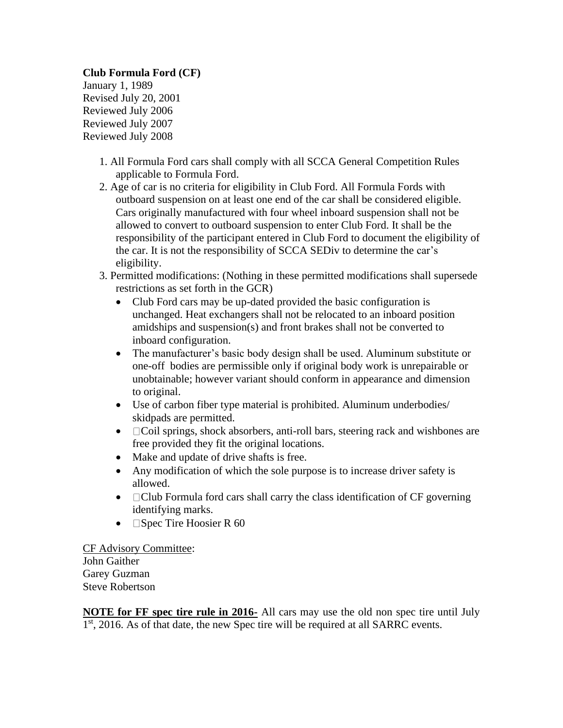**Club Formula Ford (CF)** January 1, 1989 Revised July 20, 2001 Reviewed July 2006 Reviewed July 2007 Reviewed July 2008

- 1. All Formula Ford cars shall comply with all SCCA General Competition Rules applicable to Formula Ford.
- 2. Age of car is no criteria for eligibility in Club Ford. All Formula Fords with outboard suspension on at least one end of the car shall be considered eligible. Cars originally manufactured with four wheel inboard suspension shall not be allowed to convert to outboard suspension to enter Club Ford. It shall be the responsibility of the participant entered in Club Ford to document the eligibility of the car. It is not the responsibility of SCCA SEDiv to determine the car's eligibility.
- 3. Permitted modifications: (Nothing in these permitted modifications shall supersede restrictions as set forth in the GCR)
	- Club Ford cars may be up-dated provided the basic configuration is unchanged. Heat exchangers shall not be relocated to an inboard position amidships and suspension(s) and front brakes shall not be converted to inboard configuration.
	- The manufacturer's basic body design shall be used. Aluminum substitute or one-off bodies are permissible only if original body work is unrepairable or unobtainable; however variant should conform in appearance and dimension to original.
	- Use of carbon fiber type material is prohibited. Aluminum underbodies/ skidpads are permitted.
	- $\Box$  Coil springs, shock absorbers, anti-roll bars, steering rack and wishbones are free provided they fit the original locations.
	- Make and update of drive shafts is free.
	- Any modification of which the sole purpose is to increase driver safety is allowed.
	- $\Box$  Club Formula ford cars shall carry the class identification of CF governing identifying marks.
	- $\Box$  Spec Tire Hoosier R 60

CF Advisory Committee: John Gaither Garey Guzman Steve Robertson

**NOTE for FF spec tire rule in 2016-** All cars may use the old non spec tire until July 1<sup>st</sup>, 2016. As of that date, the new Spec tire will be required at all SARRC events.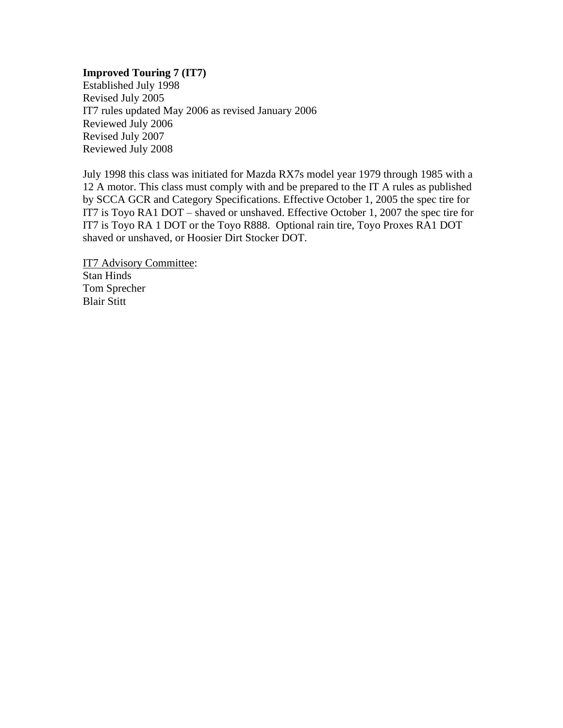# **Improved Touring 7 (IT7)**

Established July 1998 Revised July 2005 IT7 rules updated May 2006 as revised January 2006 Reviewed July 2006 Revised July 2007 Reviewed July 2008

July 1998 this class was initiated for Mazda RX7s model year 1979 through 1985 with a 12 A motor. This class must comply with and be prepared to the IT A rules as published by SCCA GCR and Category Specifications. Effective October 1, 2005 the spec tire for IT7 is Toyo RA1 DOT – shaved or unshaved. Effective October 1, 2007 the spec tire for IT7 is Toyo RA 1 DOT or the Toyo R888. Optional rain tire, Toyo Proxes RA1 DOT shaved or unshaved, or Hoosier Dirt Stocker DOT.

IT7 Advisory Committee: Stan Hinds Tom Sprecher Blair Stitt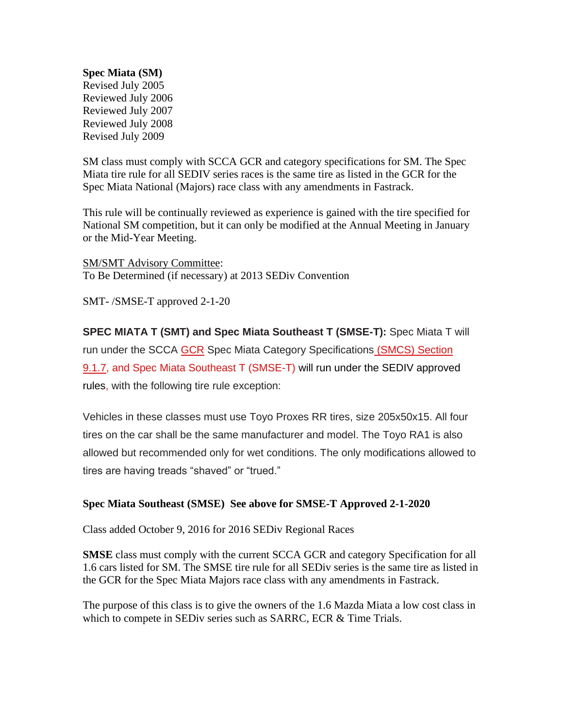# **Spec Miata (SM)**

Revised July 2005 Reviewed July 2006 Reviewed July 2007 Reviewed July 2008 Revised July 2009

SM class must comply with SCCA GCR and category specifications for SM. The Spec Miata tire rule for all SEDIV series races is the same tire as listed in the GCR for the Spec Miata National (Majors) race class with any amendments in Fastrack.

This rule will be continually reviewed as experience is gained with the tire specified for National SM competition, but it can only be modified at the Annual Meeting in January or the Mid-Year Meeting.

SM/SMT Advisory Committee: To Be Determined (if necessary) at 2013 SEDiv Convention

SMT- /SMSE-T approved 2-1-20

**SPEC MIATA T (SMT) and Spec Miata Southeast T (SMSE-T):** Spec Miata T will run under the SCCA [GCR](https://www.scca.com/pages/cars-and-rules) Spec Miata Category Specifications [\(SMCS\) Section](https://www.scca.com/pages/cars-and-rules)  [9.1.7,](https://www.scca.com/pages/cars-and-rules) and Spec Miata Southeast T (SMSE-T) will run under the SEDIV approved rules, with the following tire rule exception:

Vehicles in these classes must use Toyo Proxes RR tires, size 205x50x15. All four tires on the car shall be the same manufacturer and model. The Toyo RA1 is also allowed but recommended only for wet conditions. The only modifications allowed to tires are having treads "shaved" or "trued."

# **Spec Miata Southeast (SMSE) See above for SMSE-T Approved 2-1-2020**

Class added October 9, 2016 for 2016 SEDiv Regional Races

**SMSE** class must comply with the current SCCA GCR and category Specification for all 1.6 cars listed for SM. The SMSE tire rule for all SEDiv series is the same tire as listed in the GCR for the Spec Miata Majors race class with any amendments in Fastrack.

The purpose of this class is to give the owners of the 1.6 Mazda Miata a low cost class in which to compete in SEDiv series such as SARRC, ECR & Time Trials.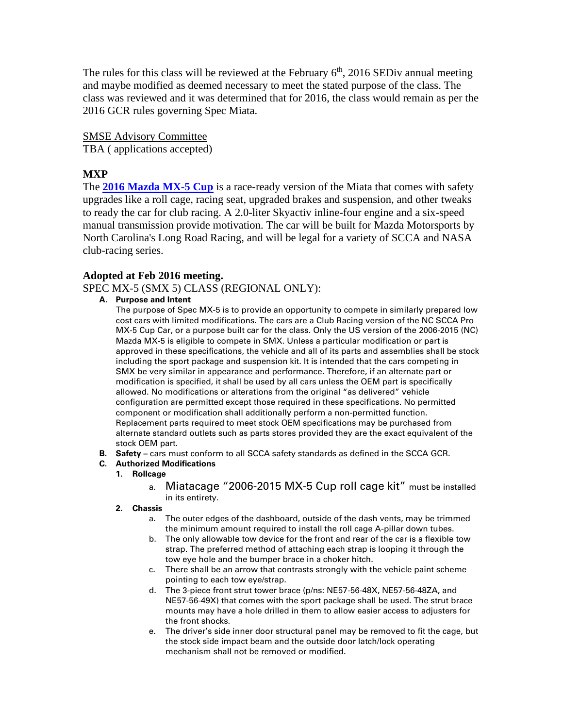The rules for this class will be reviewed at the February  $6<sup>th</sup>$ , 2016 SEDiv annual meeting and maybe modified as deemed necessary to meet the stated purpose of the class. The class was reviewed and it was determined that for 2016, the class would remain as per the 2016 GCR rules governing Spec Miata.

# SMSE Advisory Committee

TBA ( applications accepted)

# **MXP**

The **[2016 Mazda MX-5 Cup](http://www.automobilemag.com/features/news/1411-mazda-global-mx-5-cup-racecar-previews-one-make-race-series/)** is a race-ready version of the Miata that comes with safety upgrades like a roll cage, racing seat, upgraded brakes and suspension, and other tweaks to ready the car for club racing. A 2.0-liter Skyactiv inline-four engine and a six-speed manual transmission provide motivation. The car will be built for Mazda Motorsports by North Carolina's Long Road Racing, and will be legal for a variety of SCCA and NASA club-racing series.

# **Adopted at Feb 2016 meeting.**

SPEC MX-5 (SMX 5) CLASS (REGIONAL ONLY):

**A. Purpose and Intent**

The purpose of Spec MX-5 is to provide an opportunity to compete in similarly prepared low cost cars with limited modifications. The cars are a Club Racing version of the NC SCCA Pro MX-5 Cup Car, or a purpose built car for the class. Only the US version of the 2006-2015 (NC) Mazda MX-5 is eligible to compete in SMX. Unless a particular modification or part is approved in these specifications, the vehicle and all of its parts and assemblies shall be stock including the sport package and suspension kit. It is intended that the cars competing in SMX be very similar in appearance and performance. Therefore, if an alternate part or modification is specified, it shall be used by all cars unless the OEM part is specifically allowed. No modifications or alterations from the original "as delivered" vehicle configuration are permitted except those required in these specifications. No permitted component or modification shall additionally perform a non-permitted function. Replacement parts required to meet stock OEM specifications may be purchased from alternate standard outlets such as parts stores provided they are the exact equivalent of the stock OEM part.

**B. Safety –** cars must conform to all SCCA safety standards as defined in the SCCA GCR.

### **C. Authorized Modifications**

### **1. Rollcage**

- a. Miatacage "2006-2015 MX-5 Cup roll cage kit" must be installed in its entirety.
- **2. Chassis**
	- a. The outer edges of the dashboard, outside of the dash vents, may be trimmed the minimum amount required to install the roll cage A-pillar down tubes.
	- b. The only allowable tow device for the front and rear of the car is a flexible tow strap. The preferred method of attaching each strap is looping it through the tow eye hole and the bumper brace in a choker hitch.
	- c. There shall be an arrow that contrasts strongly with the vehicle paint scheme pointing to each tow eye/strap.
	- d. The 3-piece front strut tower brace (p/ns: NE57-56-48X, NE57-56-48ZA, and NE57-56-49X) that comes with the sport package shall be used. The strut brace mounts may have a hole drilled in them to allow easier access to adjusters for the front shocks.
	- e. The driver's side inner door structural panel may be removed to fit the cage, but the stock side impact beam and the outside door latch/lock operating mechanism shall not be removed or modified.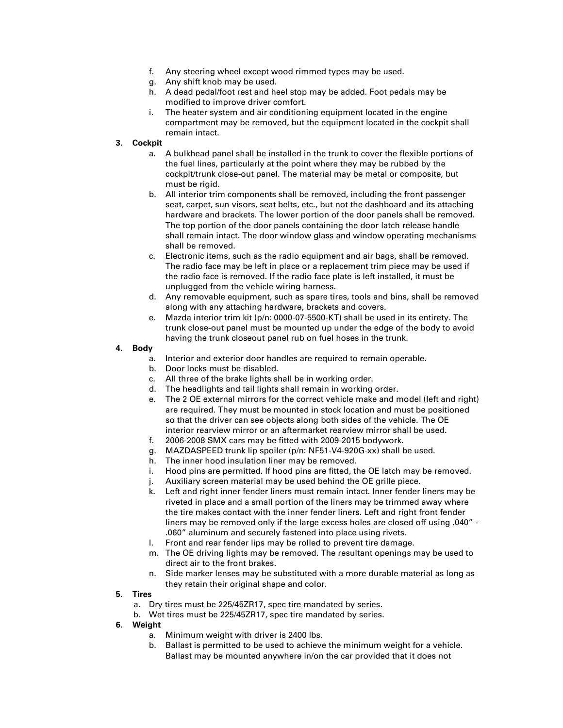- f. Any steering wheel except wood rimmed types may be used.
- g. Any shift knob may be used.
- h. A dead pedal/foot rest and heel stop may be added. Foot pedals may be modified to improve driver comfort.
- i. The heater system and air conditioning equipment located in the engine compartment may be removed, but the equipment located in the cockpit shall remain intact.

#### **3. Cockpit**

- a. A bulkhead panel shall be installed in the trunk to cover the flexible portions of the fuel lines, particularly at the point where they may be rubbed by the cockpit/trunk close-out panel. The material may be metal or composite, but must be rigid.
- b. All interior trim components shall be removed, including the front passenger seat, carpet, sun visors, seat belts, etc., but not the dashboard and its attaching hardware and brackets. The lower portion of the door panels shall be removed. The top portion of the door panels containing the door latch release handle shall remain intact. The door window glass and window operating mechanisms shall be removed.
- c. Electronic items, such as the radio equipment and air bags, shall be removed. The radio face may be left in place or a replacement trim piece may be used if the radio face is removed. If the radio face plate is left installed, it must be unplugged from the vehicle wiring harness.
- d. Any removable equipment, such as spare tires, tools and bins, shall be removed along with any attaching hardware, brackets and covers.
- e. Mazda interior trim kit (p/n: 0000-07-5500-KT) shall be used in its entirety. The trunk close-out panel must be mounted up under the edge of the body to avoid having the trunk closeout panel rub on fuel hoses in the trunk.

#### **4. Body**

- a. Interior and exterior door handles are required to remain operable.
- b. Door locks must be disabled.
- c. All three of the brake lights shall be in working order.
- d. The headlights and tail lights shall remain in working order.
- e. The 2 OE external mirrors for the correct vehicle make and model (left and right) are required. They must be mounted in stock location and must be positioned so that the driver can see objects along both sides of the vehicle. The OE interior rearview mirror or an aftermarket rearview mirror shall be used.
- f. 2006-2008 SMX cars may be fitted with 2009-2015 bodywork.
- g. MAZDASPEED trunk lip spoiler (p/n: NF51-V4-920G-xx) shall be used.
- h. The inner hood insulation liner may be removed.
- i. Hood pins are permitted. If hood pins are fitted, the OE latch may be removed.
- j. Auxiliary screen material may be used behind the OE grille piece.
- k. Left and right inner fender liners must remain intact. Inner fender liners may be riveted in place and a small portion of the liners may be trimmed away where the tire makes contact with the inner fender liners. Left and right front fender liners may be removed only if the large excess holes are closed off using .040" - .060" aluminum and securely fastened into place using rivets.
- Front and rear fender lips may be rolled to prevent tire damage.
- m. The OE driving lights may be removed. The resultant openings may be used to direct air to the front brakes.
- n. Side marker lenses may be substituted with a more durable material as long as they retain their original shape and color.
- **5. Tires**
	- a. Dry tires must be 225/45ZR17, spec tire mandated by series.
	- b. Wet tires must be 225/45ZR17, spec tire mandated by series.
- **6. Weight**
	- a. Minimum weight with driver is 2400 lbs.
	- b. Ballast is permitted to be used to achieve the minimum weight for a vehicle. Ballast may be mounted anywhere in/on the car provided that it does not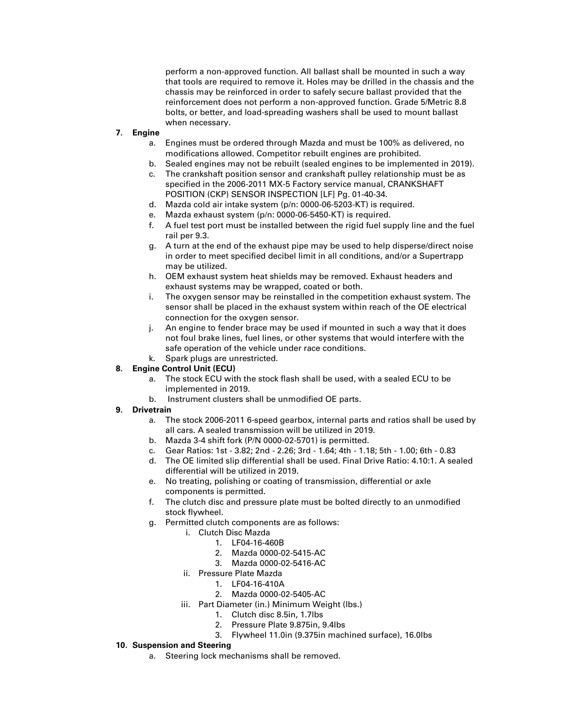perform a non-approved function. All ballast shall be mounted in such a way that tools are required to remove it. Holes may be drilled in the chassis and the chassis may be reinforced in order to safely secure ballast provided that the reinforcement does not perform a non-approved function. Grade 5/Metric 8.8 bolts, or better, and load-spreading washers shall be used to mount ballast when necessary.

#### **7. Engine**

- a. Engines must be ordered through Mazda and must be 100% as delivered, no modifications allowed. Competitor rebuilt engines are prohibited.
- b. Sealed engines may not be rebuilt (sealed engines to be implemented in 2019).
- c. The crankshaft position sensor and crankshaft pulley relationship must be as specified in the 2006-2011 MX-5 Factory service manual, CRANKSHAFT POSITION (CKP) SENSOR INSPECTION [LF] Pg. 01-40-34.
- d. Mazda cold air intake system (p/n: 0000-06-5203-KT) is required.
- e. Mazda exhaust system (p/n: 0000-06-5450-KT) is required.
- f. A fuel test port must be installed between the rigid fuel supply line and the fuel rail per 9.3.
- g. A turn at the end of the exhaust pipe may be used to help disperse/direct noise in order to meet specified decibel limit in all conditions, and/or a Supertrapp may be utilized.
- h. OEM exhaust system heat shields may be removed. Exhaust headers and exhaust systems may be wrapped, coated or both.
- i. The oxygen sensor may be reinstalled in the competition exhaust system. The sensor shall be placed in the exhaust system within reach of the OE electrical connection for the oxygen sensor.
- j. An engine to fender brace may be used if mounted in such a way that it does not foul brake lines, fuel lines, or other systems that would interfere with the safe operation of the vehicle under race conditions.
- k. Spark plugs are unrestricted.

#### **8. Engine Control Unit (ECU)**

- a. The stock ECU with the stock flash shall be used, with a sealed ECU to be implemented in 2019.
- b. Instrument clusters shall be unmodified OE parts.

#### **9. Drivetrain**

- a. The stock 2006-2011 6-speed gearbox, internal parts and ratios shall be used by all cars. A sealed transmission will be utilized in 2019.
- b. Mazda 3-4 shift fork (P/N 0000-02-5701) is permitted.
- c. Gear Ratios: 1st 3.82; 2nd 2.26; 3rd 1.64; 4th 1.18; 5th 1.00; 6th 0.83
- d. The OE limited slip differential shall be used. Final Drive Ratio: 4.10:1. A sealed differential will be utilized in 2019.
- e. No treating, polishing or coating of transmission, differential or axle components is permitted.
- f. The clutch disc and pressure plate must be bolted directly to an unmodified stock flywheel.
- g. Permitted clutch components are as follows:
	- i. Clutch Disc Mazda
		- 1. LF04-16-460B
			- 2. Mazda 0000-02-5415-AC
			- 3. Mazda 0000-02-5416-AC
	- ii. Pressure Plate Mazda
		- 1. LF04-16-410A
		- 2. Mazda 0000-02-5405-AC
	- iii. Part Diameter (in.) Minimum Weight (lbs.)
		- 1. Clutch disc 8.5in, 1.7lbs
			- 2. Pressure Plate 9.875in, 9.4lbs
		- 3. Flywheel 11.0in (9.375in machined surface), 16.0lbs

#### **10. Suspension and Steering**

a. Steering lock mechanisms shall be removed.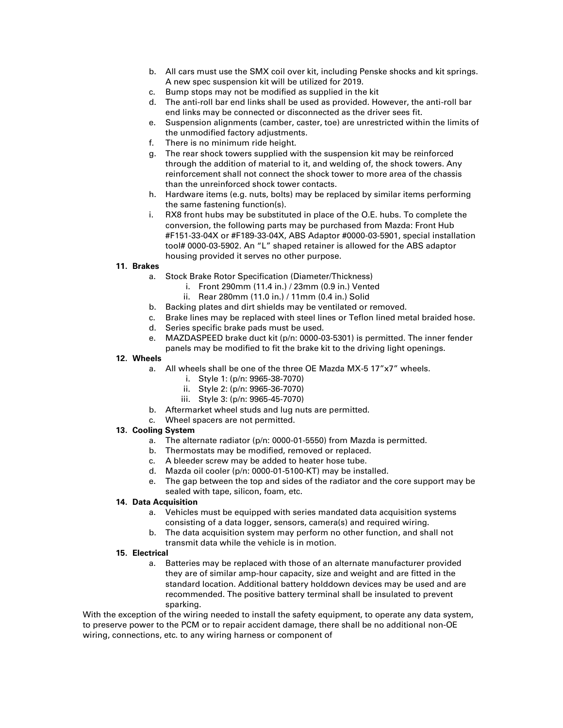- b. All cars must use the SMX coil over kit, including Penske shocks and kit springs. A new spec suspension kit will be utilized for 2019.
- c. Bump stops may not be modified as supplied in the kit
- d. The anti-roll bar end links shall be used as provided. However, the anti-roll bar end links may be connected or disconnected as the driver sees fit.
- e. Suspension alignments (camber, caster, toe) are unrestricted within the limits of the unmodified factory adjustments.
- f. There is no minimum ride height.
- g. The rear shock towers supplied with the suspension kit may be reinforced through the addition of material to it, and welding of, the shock towers. Any reinforcement shall not connect the shock tower to more area of the chassis than the unreinforced shock tower contacts.
- h. Hardware items (e.g. nuts, bolts) may be replaced by similar items performing the same fastening function(s).
- i. RX8 front hubs may be substituted in place of the O.E. hubs. To complete the conversion, the following parts may be purchased from Mazda: Front Hub #F151-33-04X or #F189-33-04X, ABS Adaptor #0000-03-5901, special installation tool# 0000-03-5902. An "L" shaped retainer is allowed for the ABS adaptor housing provided it serves no other purpose.

#### **11. Brakes**

- a. Stock Brake Rotor Specification (Diameter/Thickness)
	- i. Front 290mm (11.4 in.) / 23mm (0.9 in.) Vented
	- ii. Rear 280mm (11.0 in.) / 11mm (0.4 in.) Solid
- b. Backing plates and dirt shields may be ventilated or removed.
- c. Brake lines may be replaced with steel lines or Teflon lined metal braided hose.
- d. Series specific brake pads must be used.
- e. MAZDASPEED brake duct kit (p/n: 0000-03-5301) is permitted. The inner fender panels may be modified to fit the brake kit to the driving light openings.

#### **12. Wheels**

- a. All wheels shall be one of the three OE Mazda MX-5 17"x7" wheels.
	- i. Style 1: (p/n: 9965-38-7070)
	- ii. Style 2: (p/n: 9965-36-7070)
	- iii. Style 3: (p/n: 9965-45-7070)
- b. Aftermarket wheel studs and lug nuts are permitted.
- c. Wheel spacers are not permitted.

#### **13. Cooling System**

- a. The alternate radiator (p/n: 0000-01-5550) from Mazda is permitted.
- b. Thermostats may be modified, removed or replaced.
- c. A bleeder screw may be added to heater hose tube.
- d. Mazda oil cooler (p/n: 0000-01-5100-KT) may be installed.
- e. The gap between the top and sides of the radiator and the core support may be sealed with tape, silicon, foam, etc.

#### **14. Data Acquisition**

- a. Vehicles must be equipped with series mandated data acquisition systems consisting of a data logger, sensors, camera(s) and required wiring.
- b. The data acquisition system may perform no other function, and shall not transmit data while the vehicle is in motion.

#### **15. Electrical**

a. Batteries may be replaced with those of an alternate manufacturer provided they are of similar amp-hour capacity, size and weight and are fitted in the standard location. Additional battery holddown devices may be used and are recommended. The positive battery terminal shall be insulated to prevent sparking.

With the exception of the wiring needed to install the safety equipment, to operate any data system, to preserve power to the PCM or to repair accident damage, there shall be no additional non-OE wiring, connections, etc. to any wiring harness or component of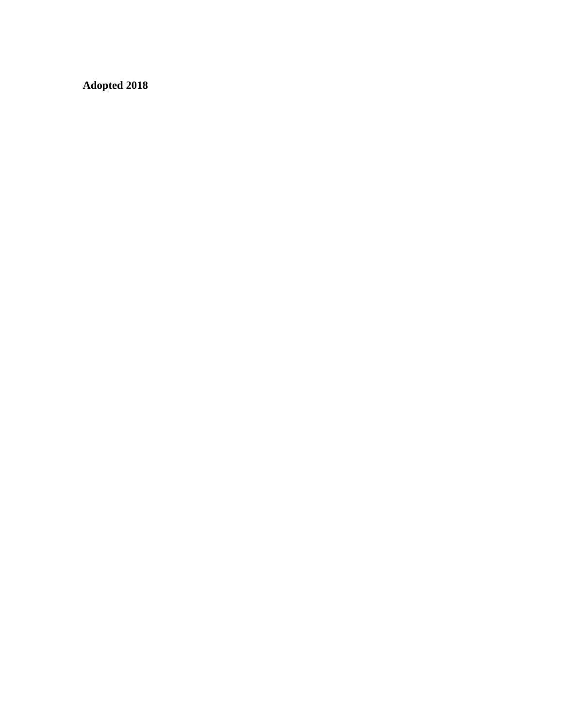**Adopted 2018**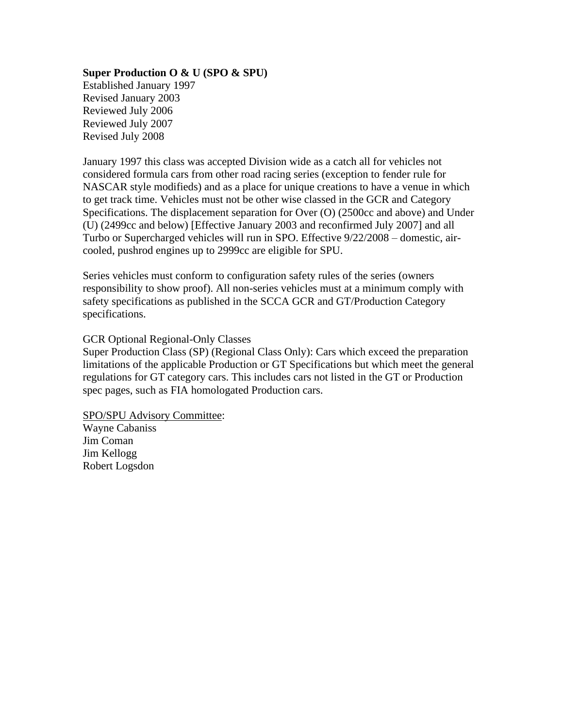# **Super Production O & U (SPO & SPU)**

Established January 1997 Revised January 2003 Reviewed July 2006 Reviewed July 2007 Revised July 2008

January 1997 this class was accepted Division wide as a catch all for vehicles not considered formula cars from other road racing series (exception to fender rule for NASCAR style modifieds) and as a place for unique creations to have a venue in which to get track time. Vehicles must not be other wise classed in the GCR and Category Specifications. The displacement separation for Over (O) (2500cc and above) and Under (U) (2499cc and below) [Effective January 2003 and reconfirmed July 2007] and all Turbo or Supercharged vehicles will run in SPO. Effective 9/22/2008 – domestic, aircooled, pushrod engines up to 2999cc are eligible for SPU.

Series vehicles must conform to configuration safety rules of the series (owners responsibility to show proof). All non-series vehicles must at a minimum comply with safety specifications as published in the SCCA GCR and GT/Production Category specifications.

# GCR Optional Regional-Only Classes

Super Production Class (SP) (Regional Class Only): Cars which exceed the preparation limitations of the applicable Production or GT Specifications but which meet the general regulations for GT category cars. This includes cars not listed in the GT or Production spec pages, such as FIA homologated Production cars.

SPO/SPU Advisory Committee:

Wayne Cabaniss Jim Coman Jim Kellogg Robert Logsdon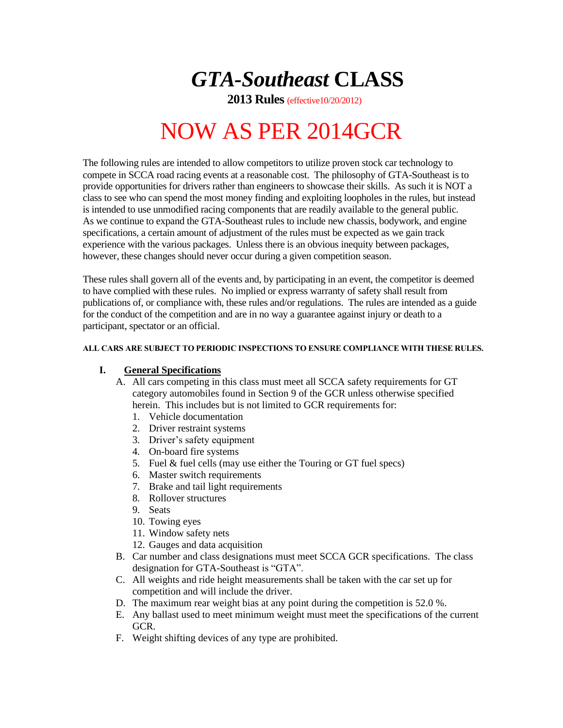*GTA-Southeast* **CLASS**

 **2013 Rules** (effective10/20/2012)

# NOW AS PER 2014GCR

The following rules are intended to allow competitors to utilize proven stock car technology to compete in SCCA road racing events at a reasonable cost. The philosophy of GTA-Southeast is to provide opportunities for drivers rather than engineers to showcase their skills. As such it is NOT a class to see who can spend the most money finding and exploiting loopholes in the rules, but instead is intended to use unmodified racing components that are readily available to the general public. As we continue to expand the GTA-Southeast rules to include new chassis, bodywork, and engine specifications, a certain amount of adjustment of the rules must be expected as we gain track experience with the various packages. Unless there is an obvious inequity between packages, however, these changes should never occur during a given competition season.

These rules shall govern all of the events and, by participating in an event, the competitor is deemed to have complied with these rules. No implied or express warranty of safety shall result from publications of, or compliance with, these rules and/or regulations. The rules are intended as a guide for the conduct of the competition and are in no way a guarantee against injury or death to a participant, spectator or an official.

#### **ALL CARS ARE SUBJECT TO PERIODIC INSPECTIONS TO ENSURE COMPLIANCE WITH THESE RULES.**

### **I. General Specifications**

- A. All cars competing in this class must meet all SCCA safety requirements for GT category automobiles found in Section 9 of the GCR unless otherwise specified herein. This includes but is not limited to GCR requirements for:
	- 1. Vehicle documentation
	- 2. Driver restraint systems
	- 3. Driver's safety equipment
	- 4. On-board fire systems
	- 5. Fuel & fuel cells (may use either the Touring or GT fuel specs)
	- 6. Master switch requirements
	- 7. Brake and tail light requirements
	- 8. Rollover structures
	- 9. Seats
	- 10. Towing eyes
	- 11. Window safety nets
	- 12. Gauges and data acquisition
- B. Car number and class designations must meet SCCA GCR specifications. The class designation for GTA-Southeast is "GTA".
- C. All weights and ride height measurements shall be taken with the car set up for competition and will include the driver.
- D. The maximum rear weight bias at any point during the competition is 52.0 %.
- E. Any ballast used to meet minimum weight must meet the specifications of the current GCR.
- F. Weight shifting devices of any type are prohibited.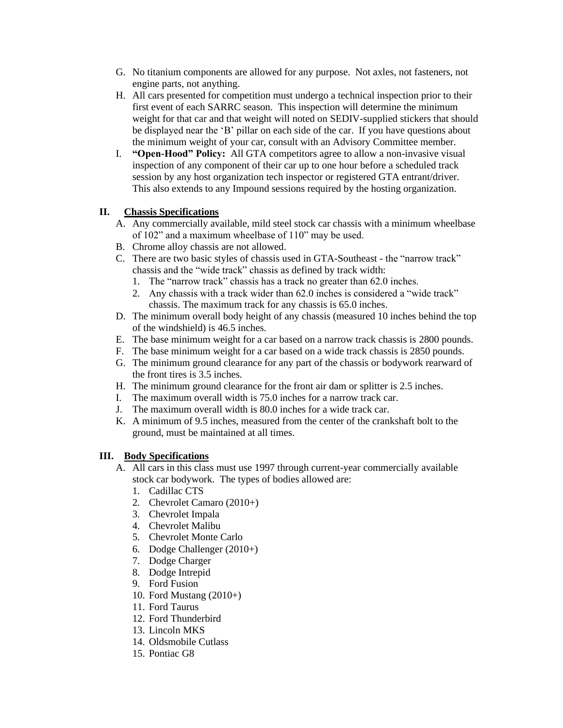- G. No titanium components are allowed for any purpose. Not axles, not fasteners, not engine parts, not anything.
- H. All cars presented for competition must undergo a technical inspection prior to their first event of each SARRC season. This inspection will determine the minimum weight for that car and that weight will noted on SEDIV-supplied stickers that should be displayed near the 'B' pillar on each side of the car. If you have questions about the minimum weight of your car, consult with an Advisory Committee member.
- I. **"Open-Hood" Policy:** All GTA competitors agree to allow a non-invasive visual inspection of any component of their car up to one hour before a scheduled track session by any host organization tech inspector or registered GTA entrant/driver. This also extends to any Impound sessions required by the hosting organization.

# **II. Chassis Specifications**

- A. Any commercially available, mild steel stock car chassis with a minimum wheelbase of 102" and a maximum wheelbase of 110" may be used.
- B. Chrome alloy chassis are not allowed.
- C. There are two basic styles of chassis used in GTA-Southeast the "narrow track" chassis and the "wide track" chassis as defined by track width:
	- 1. The "narrow track" chassis has a track no greater than 62.0 inches.
	- 2. Any chassis with a track wider than 62.0 inches is considered a "wide track" chassis. The maximum track for any chassis is 65.0 inches.
- D. The minimum overall body height of any chassis (measured 10 inches behind the top of the windshield) is 46.5 inches.
- E. The base minimum weight for a car based on a narrow track chassis is 2800 pounds.
- F. The base minimum weight for a car based on a wide track chassis is 2850 pounds.
- G. The minimum ground clearance for any part of the chassis or bodywork rearward of the front tires is 3.5 inches.
- H. The minimum ground clearance for the front air dam or splitter is 2.5 inches.
- I. The maximum overall width is 75.0 inches for a narrow track car.
- J. The maximum overall width is 80.0 inches for a wide track car.
- K. A minimum of 9.5 inches, measured from the center of the crankshaft bolt to the ground, must be maintained at all times.

# **III. Body Specifications**

- A. All cars in this class must use 1997 through current-year commercially available stock car bodywork. The types of bodies allowed are:
	- 1. Cadillac CTS
	- 2. Chevrolet Camaro (2010+)
	- 3. Chevrolet Impala
	- 4. Chevrolet Malibu
	- 5. Chevrolet Monte Carlo
	- 6. Dodge Challenger (2010+)
	- 7. Dodge Charger
	- 8. Dodge Intrepid
	- 9. Ford Fusion
	- 10. Ford Mustang (2010+)
	- 11. Ford Taurus
	- 12. Ford Thunderbird
	- 13. Lincoln MKS
	- 14. Oldsmobile Cutlass
	- 15. Pontiac G8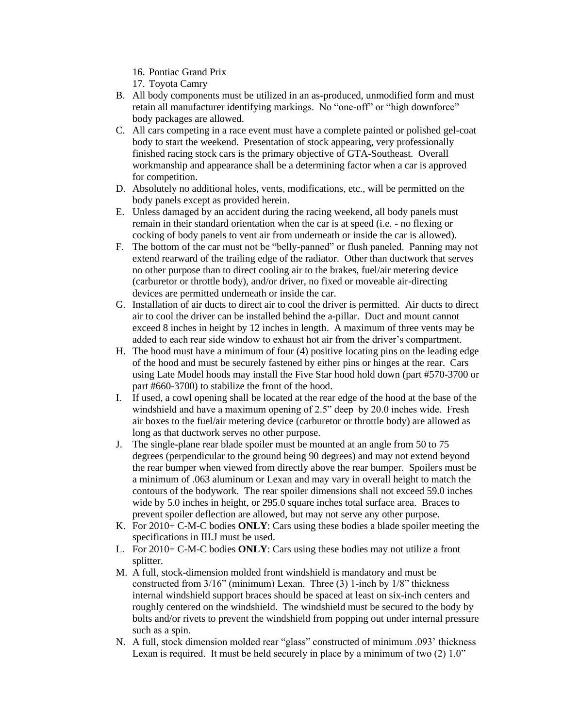- 16. Pontiac Grand Prix
- 17. Toyota Camry
- B. All body components must be utilized in an as-produced, unmodified form and must retain all manufacturer identifying markings. No "one-off" or "high downforce" body packages are allowed.
- C. All cars competing in a race event must have a complete painted or polished gel-coat body to start the weekend. Presentation of stock appearing, very professionally finished racing stock cars is the primary objective of GTA-Southeast. Overall workmanship and appearance shall be a determining factor when a car is approved for competition.
- D. Absolutely no additional holes, vents, modifications, etc., will be permitted on the body panels except as provided herein.
- E. Unless damaged by an accident during the racing weekend, all body panels must remain in their standard orientation when the car is at speed (i.e. - no flexing or cocking of body panels to vent air from underneath or inside the car is allowed).
- F. The bottom of the car must not be "belly-panned" or flush paneled. Panning may not extend rearward of the trailing edge of the radiator. Other than ductwork that serves no other purpose than to direct cooling air to the brakes, fuel/air metering device (carburetor or throttle body), and/or driver, no fixed or moveable air-directing devices are permitted underneath or inside the car.
- G. Installation of air ducts to direct air to cool the driver is permitted. Air ducts to direct air to cool the driver can be installed behind the a-pillar. Duct and mount cannot exceed 8 inches in height by 12 inches in length. A maximum of three vents may be added to each rear side window to exhaust hot air from the driver's compartment.
- H. The hood must have a minimum of four (4) positive locating pins on the leading edge of the hood and must be securely fastened by either pins or hinges at the rear. Cars using Late Model hoods may install the Five Star hood hold down (part #570-3700 or part #660-3700) to stabilize the front of the hood.
- I. If used, a cowl opening shall be located at the rear edge of the hood at the base of the windshield and have a maximum opening of 2.5" deep by 20.0 inches wide. Fresh air boxes to the fuel/air metering device (carburetor or throttle body) are allowed as long as that ductwork serves no other purpose.
- J. The single-plane rear blade spoiler must be mounted at an angle from 50 to 75 degrees (perpendicular to the ground being 90 degrees) and may not extend beyond the rear bumper when viewed from directly above the rear bumper. Spoilers must be a minimum of .063 aluminum or Lexan and may vary in overall height to match the contours of the bodywork. The rear spoiler dimensions shall not exceed 59.0 inches wide by 5.0 inches in height, or 295.0 square inches total surface area. Braces to prevent spoiler deflection are allowed, but may not serve any other purpose.
- K. For 2010+ C-M-C bodies **ONLY**: Cars using these bodies a blade spoiler meeting the specifications in III.J must be used.
- L. For 2010+ C-M-C bodies **ONLY**: Cars using these bodies may not utilize a front splitter.
- M. A full, stock-dimension molded front windshield is mandatory and must be constructed from 3/16" (minimum) Lexan. Three (3) 1-inch by 1/8" thickness internal windshield support braces should be spaced at least on six-inch centers and roughly centered on the windshield. The windshield must be secured to the body by bolts and/or rivets to prevent the windshield from popping out under internal pressure such as a spin.
- N. A full, stock dimension molded rear "glass" constructed of minimum .093' thickness Lexan is required. It must be held securely in place by a minimum of two (2) 1.0"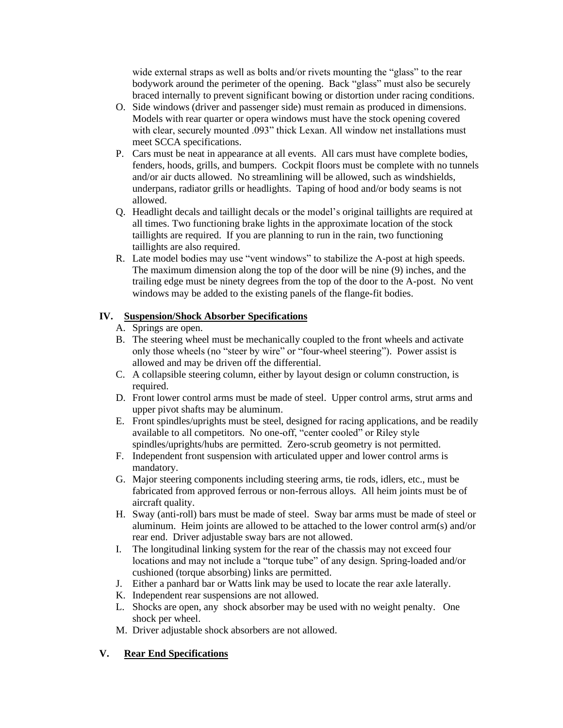wide external straps as well as bolts and/or rivets mounting the "glass" to the rear bodywork around the perimeter of the opening. Back "glass" must also be securely braced internally to prevent significant bowing or distortion under racing conditions.

- O. Side windows (driver and passenger side) must remain as produced in dimensions. Models with rear quarter or opera windows must have the stock opening covered with clear, securely mounted .093" thick Lexan. All window net installations must meet SCCA specifications.
- P. Cars must be neat in appearance at all events. All cars must have complete bodies, fenders, hoods, grills, and bumpers. Cockpit floors must be complete with no tunnels and/or air ducts allowed. No streamlining will be allowed, such as windshields, underpans, radiator grills or headlights. Taping of hood and/or body seams is not allowed.
- Q. Headlight decals and taillight decals or the model's original taillights are required at all times. Two functioning brake lights in the approximate location of the stock taillights are required. If you are planning to run in the rain, two functioning taillights are also required.
- R. Late model bodies may use "vent windows" to stabilize the A-post at high speeds. The maximum dimension along the top of the door will be nine (9) inches, and the trailing edge must be ninety degrees from the top of the door to the A-post. No vent windows may be added to the existing panels of the flange-fit bodies.

# **IV. Suspension/Shock Absorber Specifications**

- A. Springs are open.
- B. The steering wheel must be mechanically coupled to the front wheels and activate only those wheels (no "steer by wire" or "four-wheel steering"). Power assist is allowed and may be driven off the differential.
- C. A collapsible steering column, either by layout design or column construction, is required.
- D. Front lower control arms must be made of steel. Upper control arms, strut arms and upper pivot shafts may be aluminum.
- E. Front spindles/uprights must be steel, designed for racing applications, and be readily available to all competitors. No one-off, "center cooled" or Riley style spindles/uprights/hubs are permitted. Zero-scrub geometry is not permitted.
- F. Independent front suspension with articulated upper and lower control arms is mandatory.
- G. Major steering components including steering arms, tie rods, idlers, etc., must be fabricated from approved ferrous or non-ferrous alloys. All heim joints must be of aircraft quality.
- H. Sway (anti-roll) bars must be made of steel. Sway bar arms must be made of steel or aluminum. Heim joints are allowed to be attached to the lower control arm(s) and/or rear end. Driver adjustable sway bars are not allowed.
- I. The longitudinal linking system for the rear of the chassis may not exceed four locations and may not include a "torque tube" of any design. Spring-loaded and/or cushioned (torque absorbing) links are permitted.
- J. Either a panhard bar or Watts link may be used to locate the rear axle laterally.
- K. Independent rear suspensions are not allowed.
- L. Shocks are open, any shock absorber may be used with no weight penalty. One shock per wheel.
- M. Driver adjustable shock absorbers are not allowed.

# **V. Rear End Specifications**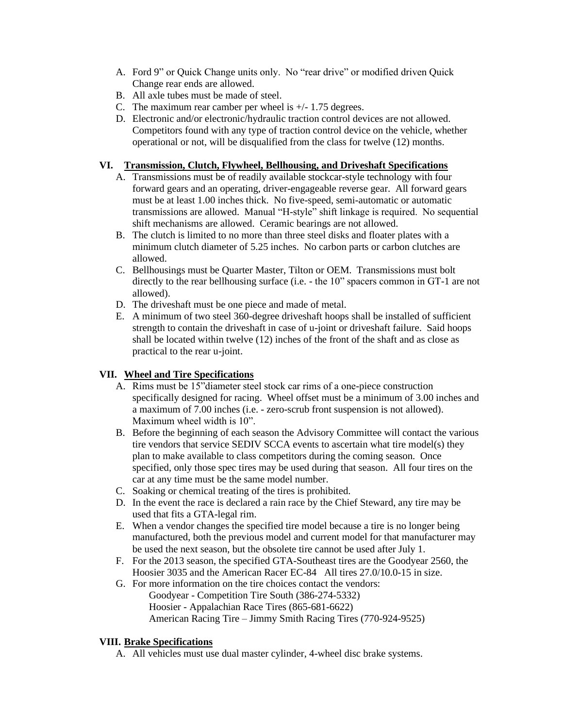- A. Ford 9" or Quick Change units only. No "rear drive" or modified driven Quick Change rear ends are allowed.
- B. All axle tubes must be made of steel.
- C. The maximum rear camber per wheel is +/- 1.75 degrees.
- D. Electronic and/or electronic/hydraulic traction control devices are not allowed. Competitors found with any type of traction control device on the vehicle, whether operational or not, will be disqualified from the class for twelve (12) months.

# **VI. Transmission, Clutch, Flywheel, Bellhousing, and Driveshaft Specifications**

- A. Transmissions must be of readily available stockcar-style technology with four forward gears and an operating, driver-engageable reverse gear. All forward gears must be at least 1.00 inches thick. No five-speed, semi-automatic or automatic transmissions are allowed. Manual "H-style" shift linkage is required. No sequential shift mechanisms are allowed. Ceramic bearings are not allowed.
- B. The clutch is limited to no more than three steel disks and floater plates with a minimum clutch diameter of 5.25 inches. No carbon parts or carbon clutches are allowed.
- C. Bellhousings must be Quarter Master, Tilton or OEM. Transmissions must bolt directly to the rear bellhousing surface (i.e. - the 10" spacers common in GT-1 are not allowed).
- D. The driveshaft must be one piece and made of metal.
- E. A minimum of two steel 360-degree driveshaft hoops shall be installed of sufficient strength to contain the driveshaft in case of u-joint or driveshaft failure. Said hoops shall be located within twelve (12) inches of the front of the shaft and as close as practical to the rear u-joint.

# **VII. Wheel and Tire Specifications**

- A. Rims must be 15"diameter steel stock car rims of a one-piece construction specifically designed for racing. Wheel offset must be a minimum of 3.00 inches and a maximum of 7.00 inches (i.e. - zero-scrub front suspension is not allowed). Maximum wheel width is 10".
- B. Before the beginning of each season the Advisory Committee will contact the various tire vendors that service SEDIV SCCA events to ascertain what tire model(s) they plan to make available to class competitors during the coming season. Once specified, only those spec tires may be used during that season. All four tires on the car at any time must be the same model number.
- C. Soaking or chemical treating of the tires is prohibited.
- D. In the event the race is declared a rain race by the Chief Steward, any tire may be used that fits a GTA-legal rim.
- E. When a vendor changes the specified tire model because a tire is no longer being manufactured, both the previous model and current model for that manufacturer may be used the next season, but the obsolete tire cannot be used after July 1.
- F. For the 2013 season, the specified GTA-Southeast tires are the Goodyear 2560, the Hoosier 3035 and the American Racer EC-84 All tires 27.0/10.0-15 in size.
- G. For more information on the tire choices contact the vendors: Goodyear - Competition Tire South (386-274-5332) Hoosier - Appalachian Race Tires (865-681-6622) American Racing Tire – Jimmy Smith Racing Tires (770-924-9525)

### **VIII. Brake Specifications**

A. All vehicles must use dual master cylinder, 4-wheel disc brake systems.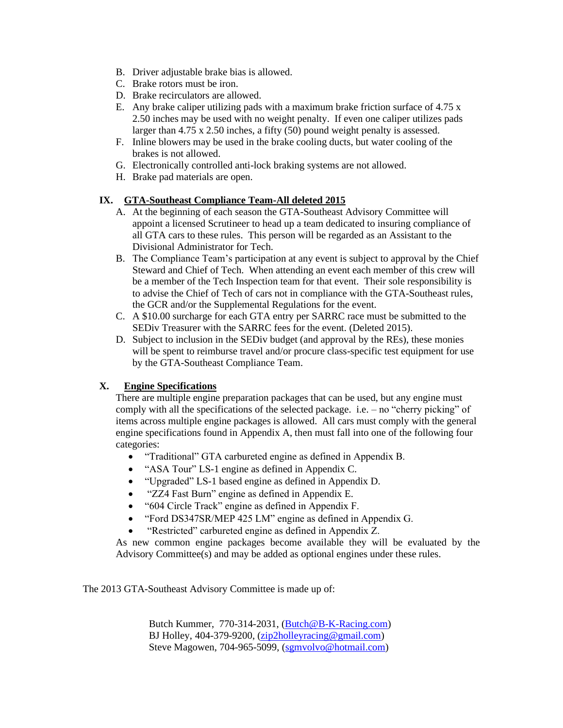- B. Driver adjustable brake bias is allowed.
- C. Brake rotors must be iron.
- D. Brake recirculators are allowed.
- E. Any brake caliper utilizing pads with a maximum brake friction surface of 4.75 x 2.50 inches may be used with no weight penalty. If even one caliper utilizes pads larger than 4.75 x 2.50 inches, a fifty (50) pound weight penalty is assessed.
- F. Inline blowers may be used in the brake cooling ducts, but water cooling of the brakes is not allowed.
- G. Electronically controlled anti-lock braking systems are not allowed.
- H. Brake pad materials are open.

# **IX. GTA-Southeast Compliance Team-All deleted 2015**

- A. At the beginning of each season the GTA-Southeast Advisory Committee will appoint a licensed Scrutineer to head up a team dedicated to insuring compliance of all GTA cars to these rules. This person will be regarded as an Assistant to the Divisional Administrator for Tech.
- B. The Compliance Team's participation at any event is subject to approval by the Chief Steward and Chief of Tech. When attending an event each member of this crew will be a member of the Tech Inspection team for that event. Their sole responsibility is to advise the Chief of Tech of cars not in compliance with the GTA-Southeast rules, the GCR and/or the Supplemental Regulations for the event.
- C. A \$10.00 surcharge for each GTA entry per SARRC race must be submitted to the SEDiv Treasurer with the SARRC fees for the event. (Deleted 2015).
- D. Subject to inclusion in the SEDiv budget (and approval by the REs), these monies will be spent to reimburse travel and/or procure class-specific test equipment for use by the GTA-Southeast Compliance Team.

# **X. Engine Specifications**

There are multiple engine preparation packages that can be used, but any engine must comply with all the specifications of the selected package. i.e. – no "cherry picking" of items across multiple engine packages is allowed. All cars must comply with the general engine specifications found in Appendix A, then must fall into one of the following four categories:

- "Traditional" GTA carbureted engine as defined in Appendix B.
- "ASA Tour" LS-1 engine as defined in Appendix C.
- "Upgraded" LS-1 based engine as defined in Appendix D.
- "ZZ4 Fast Burn" engine as defined in Appendix E.
- "604 Circle Track" engine as defined in Appendix F.
- "Ford DS347SR/MEP 425 LM" engine as defined in Appendix G.
- "Restricted" carbureted engine as defined in Appendix Z.

As new common engine packages become available they will be evaluated by the Advisory Committee(s) and may be added as optional engines under these rules.

The 2013 GTA-Southeast Advisory Committee is made up of:

Butch Kummer, 770-314-2031, [\(Butch@B-K-Racing.com\)](mailto:Butch@B-K-Racing.com) BJ Holley, 404-379-9200, [\(zip2holleyracing@gmail.com\)](mailto:zip2holleyracing@gmail.com) Steve Magowen, 704-965-5099, [\(sgmvolvo@hotmail.com\)](mailto:sgmvolvo@hotmail.com)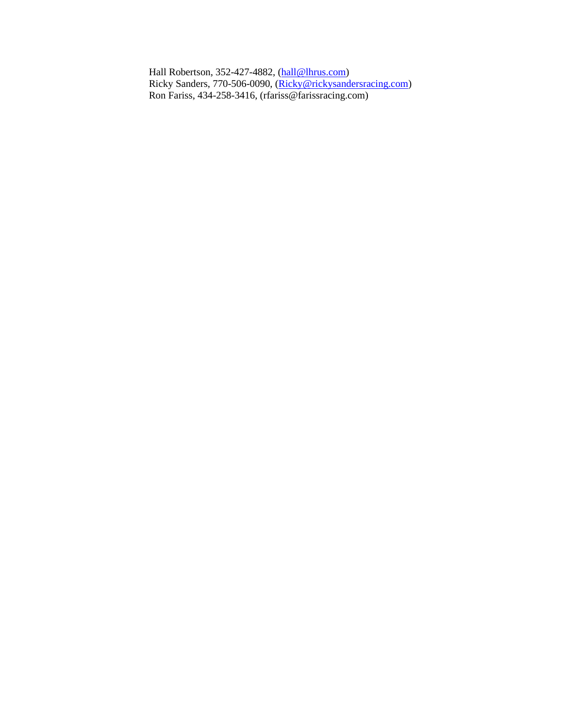Hall Robertson, 352-427-4882, [\(hall@lhrus.com\)](mailto:hall@lhrus.com) Ricky Sanders, 770-506-0090, [\(Ricky@rickysandersracing.com\)](mailto:Ricky@rickysandersracing.com) Ron Fariss, 434-258-3416, (rfariss@farissracing.com)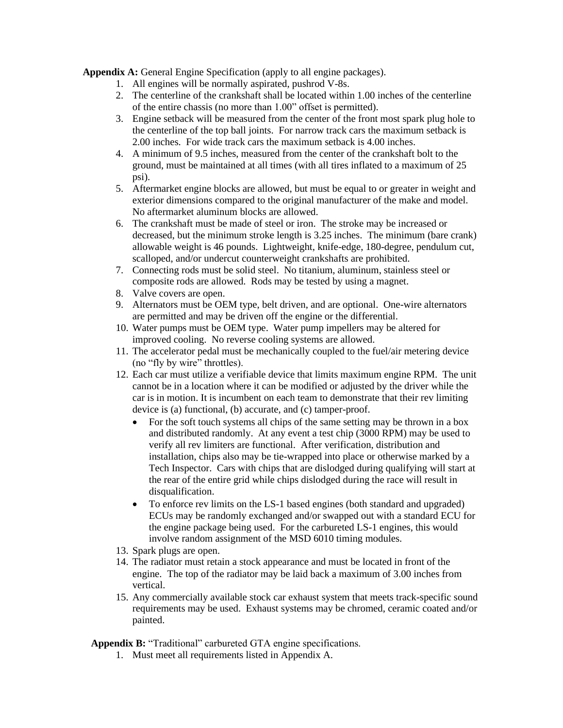**Appendix A:** General Engine Specification (apply to all engine packages).

- 1. All engines will be normally aspirated, pushrod V-8s.
- 2. The centerline of the crankshaft shall be located within 1.00 inches of the centerline of the entire chassis (no more than 1.00" offset is permitted).
- 3. Engine setback will be measured from the center of the front most spark plug hole to the centerline of the top ball joints. For narrow track cars the maximum setback is 2.00 inches. For wide track cars the maximum setback is 4.00 inches.
- 4. A minimum of 9.5 inches, measured from the center of the crankshaft bolt to the ground, must be maintained at all times (with all tires inflated to a maximum of 25 psi).
- 5. Aftermarket engine blocks are allowed, but must be equal to or greater in weight and exterior dimensions compared to the original manufacturer of the make and model. No aftermarket aluminum blocks are allowed.
- 6. The crankshaft must be made of steel or iron. The stroke may be increased or decreased, but the minimum stroke length is 3.25 inches. The minimum (bare crank) allowable weight is 46 pounds. Lightweight, knife-edge, 180-degree, pendulum cut, scalloped, and/or undercut counterweight crankshafts are prohibited.
- 7. Connecting rods must be solid steel. No titanium, aluminum, stainless steel or composite rods are allowed. Rods may be tested by using a magnet.
- 8. Valve covers are open.
- 9. Alternators must be OEM type, belt driven, and are optional. One-wire alternators are permitted and may be driven off the engine or the differential.
- 10. Water pumps must be OEM type. Water pump impellers may be altered for improved cooling. No reverse cooling systems are allowed.
- 11. The accelerator pedal must be mechanically coupled to the fuel/air metering device (no "fly by wire" throttles).
- 12. Each car must utilize a verifiable device that limits maximum engine RPM. The unit cannot be in a location where it can be modified or adjusted by the driver while the car is in motion. It is incumbent on each team to demonstrate that their rev limiting device is (a) functional, (b) accurate, and (c) tamper-proof.
	- For the soft touch systems all chips of the same setting may be thrown in a box and distributed randomly. At any event a test chip (3000 RPM) may be used to verify all rev limiters are functional. After verification, distribution and installation, chips also may be tie-wrapped into place or otherwise marked by a Tech Inspector. Cars with chips that are dislodged during qualifying will start at the rear of the entire grid while chips dislodged during the race will result in disqualification.
	- To enforce rev limits on the LS-1 based engines (both standard and upgraded) ECUs may be randomly exchanged and/or swapped out with a standard ECU for the engine package being used. For the carbureted LS-1 engines, this would involve random assignment of the MSD 6010 timing modules.
- 13. Spark plugs are open.
- 14. The radiator must retain a stock appearance and must be located in front of the engine. The top of the radiator may be laid back a maximum of 3.00 inches from vertical.
- 15. Any commercially available stock car exhaust system that meets track-specific sound requirements may be used. Exhaust systems may be chromed, ceramic coated and/or painted.

**Appendix B:** "Traditional" carbureted GTA engine specifications.

1. Must meet all requirements listed in Appendix A.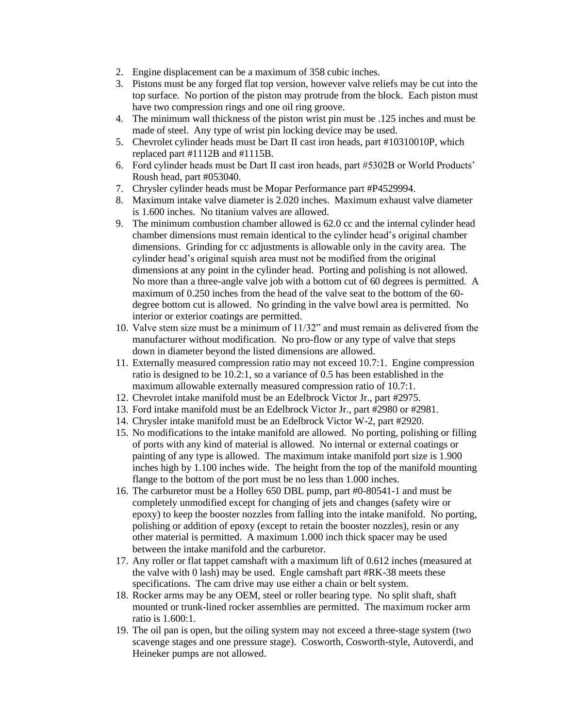- 2. Engine displacement can be a maximum of 358 cubic inches.
- 3. Pistons must be any forged flat top version, however valve reliefs may be cut into the top surface. No portion of the piston may protrude from the block. Each piston must have two compression rings and one oil ring groove.
- 4. The minimum wall thickness of the piston wrist pin must be .125 inches and must be made of steel. Any type of wrist pin locking device may be used.
- 5. Chevrolet cylinder heads must be Dart II cast iron heads, part #10310010P, which replaced part #1112B and #1115B.
- 6. Ford cylinder heads must be Dart II cast iron heads, part #5302B or World Products' Roush head, part #053040.
- 7. Chrysler cylinder heads must be Mopar Performance part #P4529994.
- 8. Maximum intake valve diameter is 2.020 inches. Maximum exhaust valve diameter is 1.600 inches. No titanium valves are allowed.
- 9. The minimum combustion chamber allowed is 62.0 cc and the internal cylinder head chamber dimensions must remain identical to the cylinder head's original chamber dimensions. Grinding for cc adjustments is allowable only in the cavity area. The cylinder head's original squish area must not be modified from the original dimensions at any point in the cylinder head. Porting and polishing is not allowed. No more than a three-angle valve job with a bottom cut of 60 degrees is permitted. A maximum of 0.250 inches from the head of the valve seat to the bottom of the 60 degree bottom cut is allowed. No grinding in the valve bowl area is permitted. No interior or exterior coatings are permitted.
- 10. Valve stem size must be a minimum of 11/32" and must remain as delivered from the manufacturer without modification. No pro-flow or any type of valve that steps down in diameter beyond the listed dimensions are allowed.
- 11. Externally measured compression ratio may not exceed 10.7:1. Engine compression ratio is designed to be 10.2:1, so a variance of 0.5 has been established in the maximum allowable externally measured compression ratio of 10.7:1.
- 12. Chevrolet intake manifold must be an Edelbrock Victor Jr., part #2975.
- 13. Ford intake manifold must be an Edelbrock Victor Jr., part #2980 or #2981.
- 14. Chrysler intake manifold must be an Edelbrock Victor W-2, part #2920.
- 15. No modifications to the intake manifold are allowed. No porting, polishing or filling of ports with any kind of material is allowed. No internal or external coatings or painting of any type is allowed. The maximum intake manifold port size is 1.900 inches high by 1.100 inches wide. The height from the top of the manifold mounting flange to the bottom of the port must be no less than 1.000 inches.
- 16. The carburetor must be a Holley 650 DBL pump, part #0-80541-1 and must be completely unmodified except for changing of jets and changes (safety wire or epoxy) to keep the booster nozzles from falling into the intake manifold. No porting, polishing or addition of epoxy (except to retain the booster nozzles), resin or any other material is permitted. A maximum 1.000 inch thick spacer may be used between the intake manifold and the carburetor.
- 17. Any roller or flat tappet camshaft with a maximum lift of 0.612 inches (measured at the valve with 0 lash) may be used. Engle camshaft part #RK-38 meets these specifications. The cam drive may use either a chain or belt system.
- 18. Rocker arms may be any OEM, steel or roller bearing type. No split shaft, shaft mounted or trunk-lined rocker assemblies are permitted. The maximum rocker arm ratio is 1.600:1.
- 19. The oil pan is open, but the oiling system may not exceed a three-stage system (two scavenge stages and one pressure stage). Cosworth, Cosworth-style, Autoverdi, and Heineker pumps are not allowed.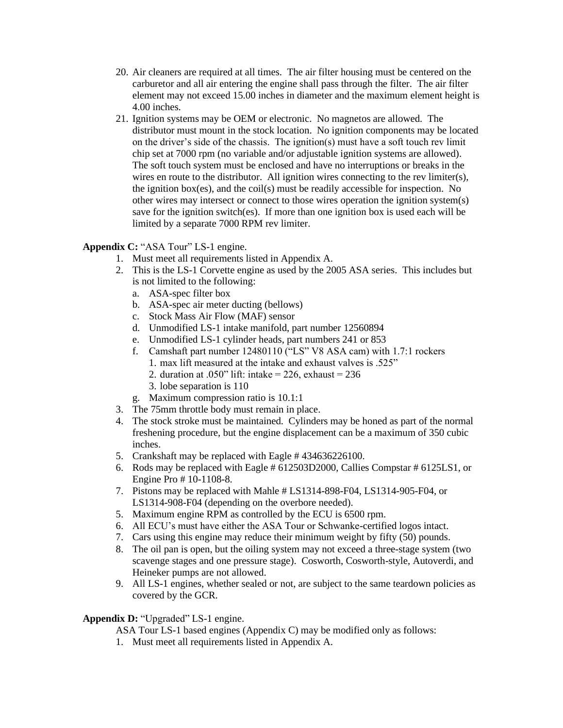- 20. Air cleaners are required at all times. The air filter housing must be centered on the carburetor and all air entering the engine shall pass through the filter. The air filter element may not exceed 15.00 inches in diameter and the maximum element height is 4.00 inches.
- 21. Ignition systems may be OEM or electronic. No magnetos are allowed. The distributor must mount in the stock location. No ignition components may be located on the driver's side of the chassis. The ignition(s) must have a soft touch rev limit chip set at 7000 rpm (no variable and/or adjustable ignition systems are allowed). The soft touch system must be enclosed and have no interruptions or breaks in the wires en route to the distributor. All ignition wires connecting to the rev limiter(s), the ignition box(es), and the coil(s) must be readily accessible for inspection. No other wires may intersect or connect to those wires operation the ignition system(s) save for the ignition switch(es). If more than one ignition box is used each will be limited by a separate 7000 RPM rev limiter.

# **Appendix C:** "ASA Tour" LS-1 engine.

- 1. Must meet all requirements listed in Appendix A.
- 2. This is the LS-1 Corvette engine as used by the 2005 ASA series. This includes but is not limited to the following:
	- a. ASA-spec filter box
	- b. ASA-spec air meter ducting (bellows)
	- c. Stock Mass Air Flow (MAF) sensor
	- d. Unmodified LS-1 intake manifold, part number 12560894
	- e. Unmodified LS-1 cylinder heads, part numbers 241 or 853
	- f. Camshaft part number 12480110 ("LS" V8 ASA cam) with 1.7:1 rockers
		- 1. max lift measured at the intake and exhaust valves is .525"
		- 2. duration at .050" lift: intake =  $226$ , exhaust =  $236$
		- 3. lobe separation is 110
	- g. Maximum compression ratio is 10.1:1
- 3. The 75mm throttle body must remain in place.
- 4. The stock stroke must be maintained. Cylinders may be honed as part of the normal freshening procedure, but the engine displacement can be a maximum of 350 cubic inches.
- 5. Crankshaft may be replaced with Eagle # 434636226100.
- 6. Rods may be replaced with Eagle # 612503D2000, Callies Compstar # 6125LS1, or Engine Pro # 10-1108-8.
- 7. Pistons may be replaced with Mahle # LS1314-898-F04, LS1314-905-F04, or LS1314-908-F04 (depending on the overbore needed).
- 5. Maximum engine RPM as controlled by the ECU is 6500 rpm.
- 6. All ECU's must have either the ASA Tour or Schwanke-certified logos intact.
- 7. Cars using this engine may reduce their minimum weight by fifty (50) pounds.
- 8. The oil pan is open, but the oiling system may not exceed a three-stage system (two scavenge stages and one pressure stage). Cosworth, Cosworth-style, Autoverdi, and Heineker pumps are not allowed.
- 9. All LS-1 engines, whether sealed or not, are subject to the same teardown policies as covered by the GCR.

# Appendix D: "Upgraded" LS-1 engine.

ASA Tour LS-1 based engines (Appendix C) may be modified only as follows:

1. Must meet all requirements listed in Appendix A.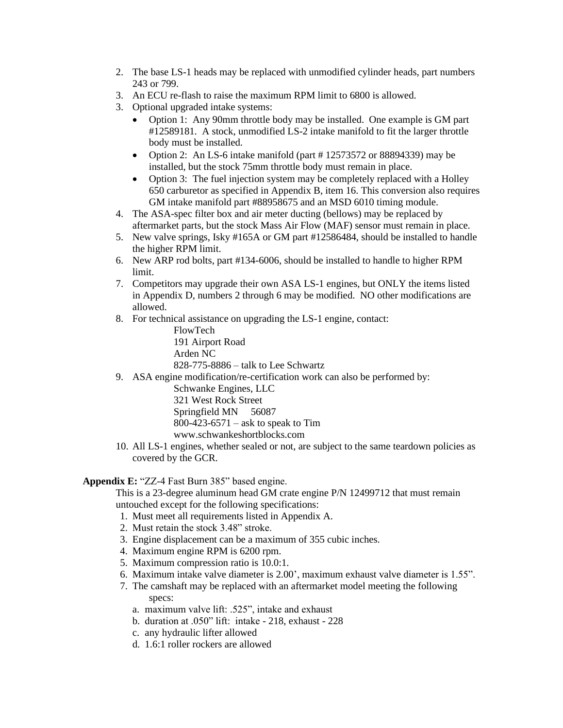- 2. The base LS-1 heads may be replaced with unmodified cylinder heads, part numbers 243 or 799.
- 3. An ECU re-flash to raise the maximum RPM limit to 6800 is allowed.
- 3. Optional upgraded intake systems:
	- Option 1: Any 90mm throttle body may be installed. One example is GM part #12589181. A stock, unmodified LS-2 intake manifold to fit the larger throttle body must be installed.
	- Option 2: An LS-6 intake manifold (part #12573572 or 88894339) may be installed, but the stock 75mm throttle body must remain in place.
	- Option 3: The fuel injection system may be completely replaced with a Holley 650 carburetor as specified in Appendix B, item 16. This conversion also requires GM intake manifold part #88958675 and an MSD 6010 timing module.
- 4. The ASA-spec filter box and air meter ducting (bellows) may be replaced by aftermarket parts, but the stock Mass Air Flow (MAF) sensor must remain in place.
- 5. New valve springs, Isky #165A or GM part #12586484, should be installed to handle the higher RPM limit.
- 6. New ARP rod bolts, part #134-6006, should be installed to handle to higher RPM limit.
- 7. Competitors may upgrade their own ASA LS-1 engines, but ONLY the items listed in Appendix D, numbers 2 through 6 may be modified. NO other modifications are allowed.
- 8. For technical assistance on upgrading the LS-1 engine, contact:

FlowTech

191 Airport Road Arden NC 828-775-8886 – talk to Lee Schwartz

9. ASA engine modification/re-certification work can also be performed by:

Schwanke Engines, LLC 321 West Rock Street Springfield MN 56087  $800-423-6571$  – ask to speak to Tim www.schwankeshortblocks.com

10. All LS-1 engines, whether sealed or not, are subject to the same teardown policies as covered by the GCR.

**Appendix E:** "ZZ-4 Fast Burn 385" based engine.

This is a 23-degree aluminum head GM crate engine P/N 12499712 that must remain untouched except for the following specifications:

- 1. Must meet all requirements listed in Appendix A.
- 2. Must retain the stock 3.48" stroke.
- 3. Engine displacement can be a maximum of 355 cubic inches.
- 4. Maximum engine RPM is 6200 rpm.
- 5. Maximum compression ratio is 10.0:1.
- 6. Maximum intake valve diameter is 2.00', maximum exhaust valve diameter is 1.55".
- 7. The camshaft may be replaced with an aftermarket model meeting the following specs:
	- a. maximum valve lift: .525", intake and exhaust
	- b. duration at .050" lift: intake 218, exhaust 228
	- c. any hydraulic lifter allowed
	- d. 1.6:1 roller rockers are allowed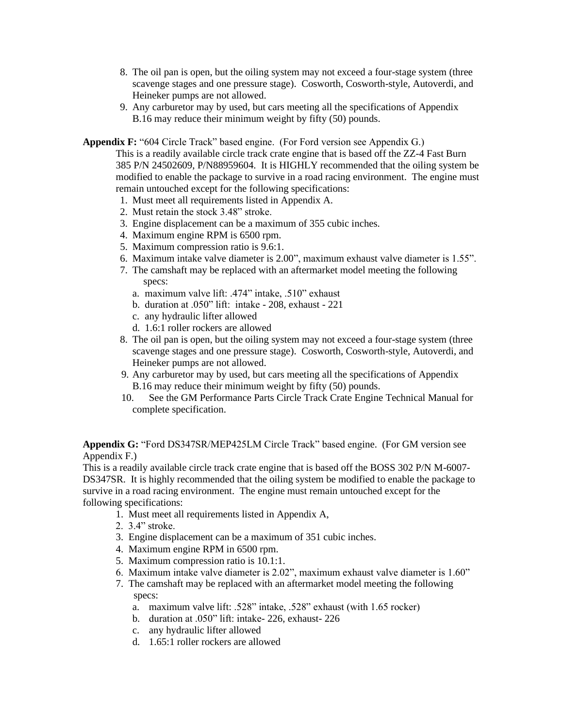- 8. The oil pan is open, but the oiling system may not exceed a four-stage system (three scavenge stages and one pressure stage). Cosworth, Cosworth-style, Autoverdi, and Heineker pumps are not allowed.
- 9. Any carburetor may by used, but cars meeting all the specifications of Appendix B.16 may reduce their minimum weight by fifty (50) pounds.

**Appendix F:** "604 Circle Track" based engine. (For Ford version see Appendix G.)

This is a readily available circle track crate engine that is based off the ZZ-4 Fast Burn 385 P/N 24502609, P/N88959604. It is HIGHLY recommended that the oiling system be modified to enable the package to survive in a road racing environment. The engine must remain untouched except for the following specifications:

- 1. Must meet all requirements listed in Appendix A.
- 2. Must retain the stock 3.48" stroke.
- 3. Engine displacement can be a maximum of 355 cubic inches.
- 4. Maximum engine RPM is 6500 rpm.
- 5. Maximum compression ratio is 9.6:1.
- 6. Maximum intake valve diameter is 2.00", maximum exhaust valve diameter is 1.55".
- 7. The camshaft may be replaced with an aftermarket model meeting the following specs:
	- a. maximum valve lift: .474" intake, .510" exhaust
	- b. duration at .050" lift: intake 208, exhaust 221
	- c. any hydraulic lifter allowed
	- d. 1.6:1 roller rockers are allowed
- 8. The oil pan is open, but the oiling system may not exceed a four-stage system (three scavenge stages and one pressure stage). Cosworth, Cosworth-style, Autoverdi, and Heineker pumps are not allowed.
- 9. Any carburetor may by used, but cars meeting all the specifications of Appendix B.16 may reduce their minimum weight by fifty (50) pounds.
- 10. See the GM Performance Parts Circle Track Crate Engine Technical Manual for complete specification.

**Appendix G:** "Ford DS347SR/MEP425LM Circle Track" based engine. (For GM version see Appendix F.)

This is a readily available circle track crate engine that is based off the BOSS 302 P/N M-6007- DS347SR. It is highly recommended that the oiling system be modified to enable the package to survive in a road racing environment. The engine must remain untouched except for the following specifications:

- 1. Must meet all requirements listed in Appendix A,
- 2. 3.4" stroke.
- 3. Engine displacement can be a maximum of 351 cubic inches.
- 4. Maximum engine RPM in 6500 rpm.
- 5. Maximum compression ratio is 10.1:1.
- 6. Maximum intake valve diameter is 2.02", maximum exhaust valve diameter is 1.60"
- 7. The camshaft may be replaced with an aftermarket model meeting the following specs:
	- a. maximum valve lift: .528" intake, .528" exhaust (with 1.65 rocker)
	- b. duration at .050" lift: intake- 226, exhaust- 226
	- c. any hydraulic lifter allowed
	- d. 1.65:1 roller rockers are allowed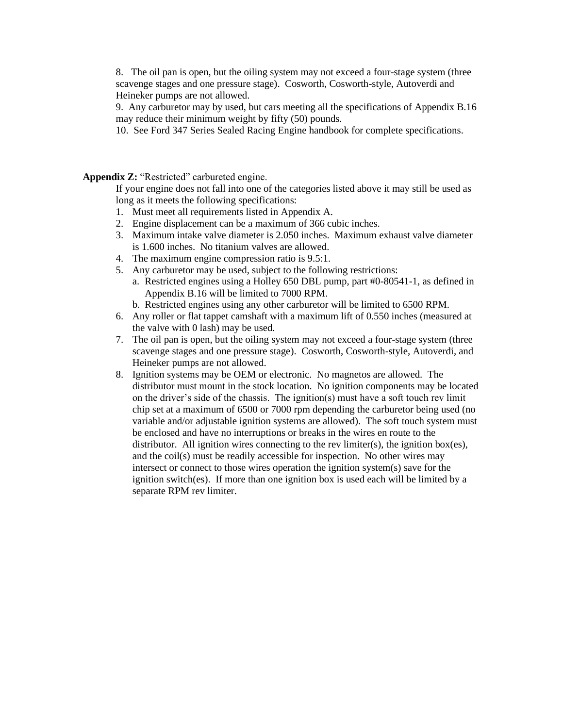8. The oil pan is open, but the oiling system may not exceed a four-stage system (three scavenge stages and one pressure stage). Cosworth, Cosworth-style, Autoverdi and Heineker pumps are not allowed.

9. Any carburetor may by used, but cars meeting all the specifications of Appendix B.16 may reduce their minimum weight by fifty (50) pounds.

10. See Ford 347 Series Sealed Racing Engine handbook for complete specifications.

Appendix **Z:** "Restricted" carbureted engine.

If your engine does not fall into one of the categories listed above it may still be used as long as it meets the following specifications:

- 1. Must meet all requirements listed in Appendix A.
- 2. Engine displacement can be a maximum of 366 cubic inches.
- 3. Maximum intake valve diameter is 2.050 inches. Maximum exhaust valve diameter is 1.600 inches. No titanium valves are allowed.
- 4. The maximum engine compression ratio is 9.5:1.
- 5. Any carburetor may be used, subject to the following restrictions:
	- a. Restricted engines using a Holley 650 DBL pump, part #0-80541-1, as defined in Appendix B.16 will be limited to 7000 RPM.
	- b. Restricted engines using any other carburetor will be limited to 6500 RPM.
- 6. Any roller or flat tappet camshaft with a maximum lift of 0.550 inches (measured at the valve with 0 lash) may be used.
- 7. The oil pan is open, but the oiling system may not exceed a four-stage system (three scavenge stages and one pressure stage). Cosworth, Cosworth-style, Autoverdi, and Heineker pumps are not allowed.
- 8. Ignition systems may be OEM or electronic. No magnetos are allowed. The distributor must mount in the stock location. No ignition components may be located on the driver's side of the chassis. The ignition(s) must have a soft touch rev limit chip set at a maximum of 6500 or 7000 rpm depending the carburetor being used (no variable and/or adjustable ignition systems are allowed). The soft touch system must be enclosed and have no interruptions or breaks in the wires en route to the distributor. All ignition wires connecting to the rev limiter(s), the ignition box(es), and the coil(s) must be readily accessible for inspection. No other wires may intersect or connect to those wires operation the ignition system(s) save for the ignition switch(es). If more than one ignition box is used each will be limited by a separate RPM rev limiter.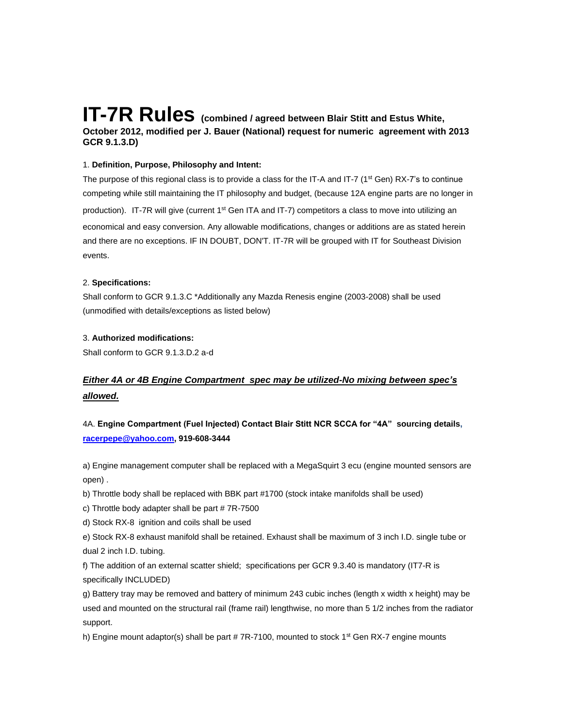# **IT-7R Rules (combined / agreed between Blair Stitt and Estus White, October 2012, modified per J. Bauer (National) request for numeric agreement with 2013 GCR 9.1.3.D)**

#### 1. **Definition, Purpose, Philosophy and Intent:**

The purpose of this regional class is to provide a class for the IT-A and IT-7 ( $1<sup>st</sup>$  Gen) RX-7's to continue competing while still maintaining the IT philosophy and budget, (because 12A engine parts are no longer in production). IT-7R will give (current 1<sup>st</sup> Gen ITA and IT-7) competitors a class to move into utilizing an economical and easy conversion. Any allowable modifications, changes or additions are as stated herein and there are no exceptions. IF IN DOUBT, DON'T. IT-7R will be grouped with IT for Southeast Division events.

#### 2. **Specifications:**

Shall conform to GCR 9.1.3.C \*Additionally any Mazda Renesis engine (2003-2008) shall be used (unmodified with details/exceptions as listed below)

#### 3. **Authorized modifications:**

Shall conform to GCR 9.1.3.D.2 a-d

# *Either 4A or 4B Engine Compartment spec may be utilized-No mixing between spec's allowed.*

# 4A. **Engine Compartment (Fuel Injected) Contact Blair Stitt NCR SCCA for "4A" sourcing details, [racerpepe@yahoo.com,](mailto:racerpepe@yahoo.com) 919-608-3444**

a) Engine management computer shall be replaced with a MegaSquirt 3 ecu (engine mounted sensors are open) .

b) Throttle body shall be replaced with BBK part #1700 (stock intake manifolds shall be used)

c) Throttle body adapter shall be part # 7R-7500

d) Stock RX-8 ignition and coils shall be used

e) Stock RX-8 exhaust manifold shall be retained. Exhaust shall be maximum of 3 inch I.D. single tube or dual 2 inch I.D. tubing.

f) The addition of an external scatter shield; specifications per GCR 9.3.40 is mandatory (IT7-R is specifically INCLUDED)

g) Battery tray may be removed and battery of minimum 243 cubic inches (length x width x height) may be used and mounted on the structural rail (frame rail) lengthwise, no more than 5 1/2 inches from the radiator support.

h) Engine mount adaptor(s) shall be part  $# 7R-7100$ , mounted to stock 1<sup>st</sup> Gen RX-7 engine mounts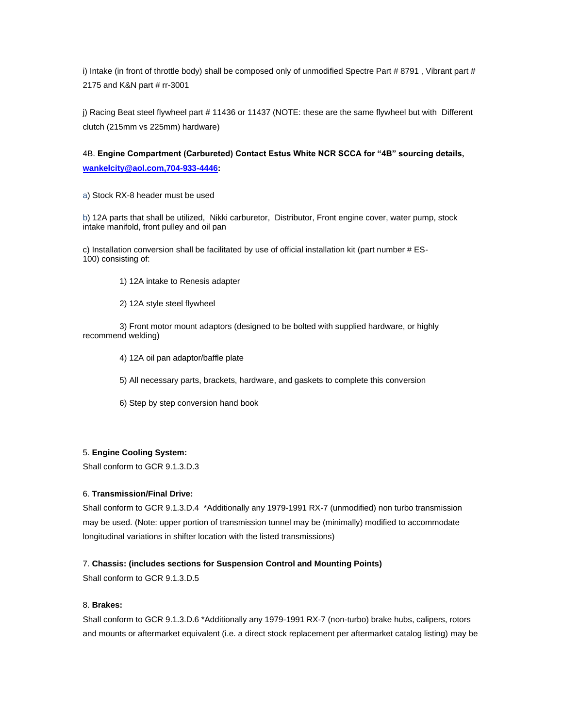i) Intake (in front of throttle body) shall be composed only of unmodified Spectre Part # 8791, Vibrant part # 2175 and K&N part # rr-3001

j) Racing Beat steel flywheel part # 11436 or 11437 (NOTE: these are the same flywheel but with Different clutch (215mm vs 225mm) hardware)

# 4B. **Engine Compartment (Carbureted) Contact Estus White NCR SCCA for "4B" sourcing details, [wankelcity@aol.com,704-933-4446:](mailto:wankelcity@aol.com,704-933-4446)**

a) Stock RX-8 header must be used

b) 12A parts that shall be utilized, Nikki carburetor, Distributor, Front engine cover, water pump, stock intake manifold, front pulley and oil pan

c) Installation conversion shall be facilitated by use of official installation kit (part number # ES-100) consisting of:

- 1) 12A intake to Renesis adapter
- 2) 12A style steel flywheel

 3) Front motor mount adaptors (designed to be bolted with supplied hardware, or highly recommend welding)

4) 12A oil pan adaptor/baffle plate

5) All necessary parts, brackets, hardware, and gaskets to complete this conversion

6) Step by step conversion hand book

#### 5. **Engine Cooling System:**

Shall conform to GCR 9.1.3.D.3

#### 6. **Transmission/Final Drive:**

Shall conform to GCR 9.1.3.D.4 \*Additionally any 1979-1991 RX-7 (unmodified) non turbo transmission may be used. (Note: upper portion of transmission tunnel may be (minimally) modified to accommodate longitudinal variations in shifter location with the listed transmissions)

#### 7. **Chassis: (includes sections for Suspension Control and Mounting Points)**

Shall conform to GCR 9.1.3.D.5

#### 8. **Brakes:**

Shall conform to GCR 9.1.3.D.6 \*Additionally any 1979-1991 RX-7 (non-turbo) brake hubs, calipers, rotors and mounts or aftermarket equivalent (i.e. a direct stock replacement per aftermarket catalog listing) may be